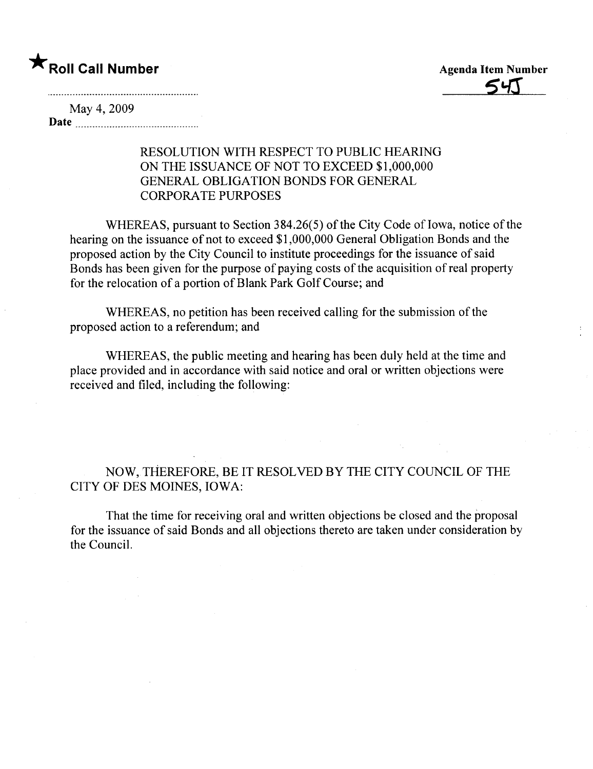May 4, 2009 Date

## RESOLUTION WITH RESPECT TO PUBLIC HEARING ON THE ISSUANCE OF NOT TO EXCEED \$1,000,000 GENERAL OBLIGATION BONDS FOR GENERAL CORPORATE PURPOSES

WHEREAS, pursuant to Section 384.26(5) of the City Code of Iowa, notice of the hearing on the issuance of not to exceed \$1,000,000 General Obligation Bonds and the proposed action by the City Council to institute proceedings for the issuance of said Bonds has been given for the purpose of paying costs of the acquisition of real property for the relocation of a portion of Blank Park Golf Course; and

WHEREAS, no petition has been received calling for the submission of the proposed action to a referendum; and

WHEREAS, the public meeting and hearing has been duly held at the time and place provided and in accordance with said notice and oral or written objections were received and fied, including the following:

NOW,THEREFORE, BE IT RESOLVED BY THE CITY COUNCIL OF THE CITY OF DES MOINES, IOWA:

That the time for receiving oral and written objections be closed and the proposal for the issuance of said Bonds and all objections thereto are taken under consideration by the CounciL.